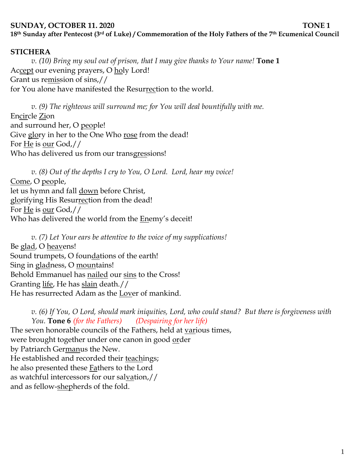#### **SUNDAY, OCTOBER 11. 2020 TONE 1**

**18th Sunday after Pentecost (3rd of Luke) / Commemoration of the Holy Fathers of the 7th Ecumenical Council**

#### **STICHERA**

*v. (10) Bring my soul out of prison, that I may give thanks to Your name!* **Tone 1** Accept our evening prayers, O holy Lord! Grant us remission of sins,// for You alone have manifested the Resurrection to the world.

*v. (9) The righteous will surround me; for You will deal bountifully with me.*  Encircle Zion and surround her, O people! Give glory in her to the One Who rose from the dead! For He is our God,// Who has delivered us from our transgressions!

*v. (8) Out of the depths I cry to You, O Lord. Lord, hear my voice!*  Come, O people, let us hymn and fall down before Christ, glorifying His Resurrection from the dead! For He is our God,// Who has delivered the world from the **Enemy's deceit!** 

*v. (7) Let Your ears be attentive to the voice of my supplications!* Be glad, O heavens! Sound trumpets, O foundations of the earth! Sing in gladness, O mountains! Behold Emmanuel has nailed our sins to the Cross! Granting life, He has slain death.// He has resurrected Adam as the Lover of mankind.

*v. (6) If You, O Lord, should mark iniquities, Lord, who could stand? But there is forgiveness with You.* **Tone 6** *(for the Fathers) (Despairing for her life)* The seven honorable councils of the Fathers, held at various times, were brought together under one canon in good order by Patriarch Germanus the New. He established and recorded their teachings; he also presented these Fathers to the Lord as watchful intercessors for our salvation,// and as fellow-shepherds of the fold.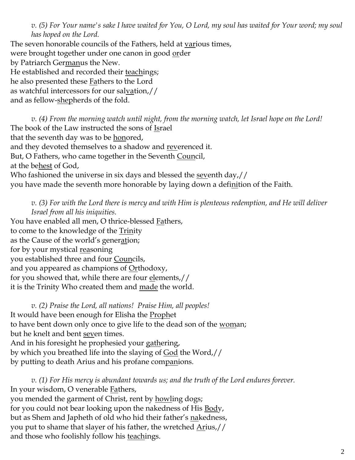*v. (5) For Your name's sake I have waited for You, O Lord, my soul has waited for Your word; my soul has hoped on the Lord.* 

The seven honorable councils of the Fathers, held at various times, were brought together under one canon in good order by Patriarch Germanus the New. He established and recorded their teachings; he also presented these **Fathers** to the Lord as watchful intercessors for our salvation,// and as fellow-shepherds of the fold.

*v. (4) From the morning watch until night, from the morning watch, let Israel hope on the Lord!*  The book of the Law instructed the sons of Israel that the seventh day was to be honored, and they devoted themselves to a shadow and reverenced it. But, O Fathers, who came together in the Seventh Council, at the behest of God, Who fashioned the universe in six days and blessed the <u>seventh day</u>,// you have made the seventh more honorable by laying down a definition of the Faith.

*v. (3) For with the Lord there is mercy and with Him is plenteous redemption, and He will deliver Israel from all his iniquities.*

You have enabled all men, O thrice-blessed **Fathers**, to come to the knowledge of the Trinity as the Cause of the world's generation; for by your mystical reasoning you established three and four Councils, and you appeared as champions of Orthodoxy, for you showed that, while there are four elements,// it is the Trinity Who created them and made the world.

*v. (2) Praise the Lord, all nations! Praise Him, all peoples!* It would have been enough for Elisha the **Prophet** to have bent down only once to give life to the dead son of the woman; but he knelt and bent seven times. And in his foresight he prophesied your gathering, by which you breathed life into the slaying of <u>God</u> the Word,// by putting to death Arius and his profane companions.

*v. (1) For His mercy is abundant towards us; and the truth of the Lord endures forever.*  In your wisdom, O venerable Fathers, you mended the garment of Christ, rent by howling dogs; for you could not bear looking upon the nakedness of His **Body**, but as Shem and Japheth of old who hid their father's nakedness, you put to shame that slayer of his father, the wretched  $\Delta$ rius,// and those who foolishly follow his teachings.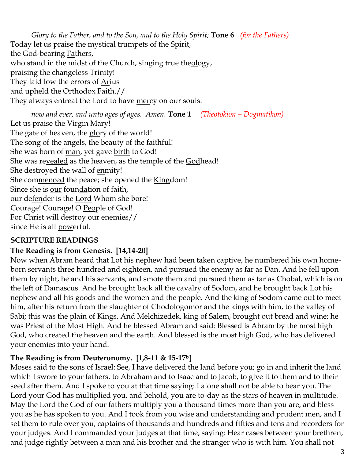*Glory to the Father, and to the Son, and to the Holy Spirit;* **Tone 6** *(for the Fathers)* Today let us praise the mystical trumpets of the Spirit, the God-bearing **Fathers**, who stand in the midst of the Church, singing true theology, praising the changeless **Trinity!** They laid low the errors of Arius and upheld the Orthodox Faith.// They always entreat the Lord to have <u>mer</u>cy on our souls.

*now and ever, and unto ages of ages. Amen.* **Tone 1** *(Theotokion – Dogmatikon)* Let us praise the Virgin Mary! The gate of heaven, the <u>glo</u>ry of the world! The song of the angels, the beauty of the <u>faithful!</u> She was born of <u>man</u>, yet gave <u>birth</u> to God! She was revealed as the heaven, as the temple of the Godhead! She destroyed the wall of <u>en</u>mity! She commenced the peace; she opened the Kingdom! Since she is our foundation of faith, our defender is the Lord Whom she bore! Courage! Courage! O People of God! For Christ will destroy our enemies// since He is all powerful.

## **SCRIPTURE READINGS**

### **The Reading is from Genesis. [14,14-20]**

Now when Abram heard that Lot his nephew had been taken captive, he numbered his own homeborn servants three hundred and eighteen, and pursued the enemy as far as Dan. And he fell upon them by night, he and his servants, and smote them and pursued them as far as Chobal, which is on the left of Damascus. And he brought back all the cavalry of Sodom, and he brought back Lot his nephew and all his goods and the women and the people. And the king of Sodom came out to meet him, after his return from the slaughter of Chodologomor and the kings with him, to the valley of Sabi; this was the plain of Kings. And Melchizedek, king of Salem, brought out bread and wine; he was Priest of the Most High. And he blessed Abram and said: Blessed is Abram by the most high God, who created the heaven and the earth. And blessed is the most high God, who has delivered your enemies into your hand.

## **The Reading is from Deuteronomy. [1,8-11 & 15-17b]**

Moses said to the sons of Israel: See, I have delivered the land before you; go in and inherit the land which I swore to your fathers, to Abraham and to Isaac and to Jacob, to give it to them and to their seed after them. And I spoke to you at that time saying: I alone shall not be able to bear you. The Lord your God has multiplied you, and behold, you are to-day as the stars of heaven in multitude. May the Lord the God of our fathers multiply you a thousand times more than you are, and bless you as he has spoken to you. And I took from you wise and understanding and prudent men, and I set them to rule over you, captains of thousands and hundreds and fifties and tens and recorders for your judges. And I commanded your judges at that time, saying: Hear cases between your brethren, and judge rightly between a man and his brother and the stranger who is with him. You shall not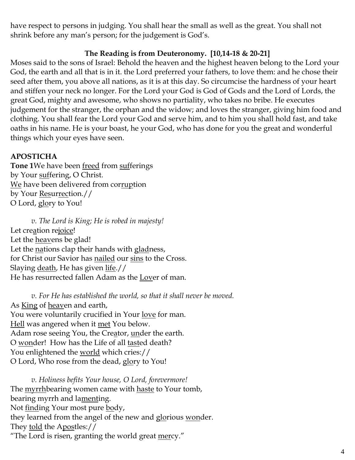have respect to persons in judging. You shall hear the small as well as the great. You shall not shrink before any man's person; for the judgement is God's.

# **The Reading is from Deuteronomy. [10,14-18 & 20-21]**

Moses said to the sons of Israel: Behold the heaven and the highest heaven belong to the Lord your God, the earth and all that is in it. the Lord preferred your fathers, to love them: and he chose their seed after them, you above all nations, as it is at this day. So circumcise the hardness of your heart and stiffen your neck no longer. For the Lord your God is God of Gods and the Lord of Lords, the great God, mighty and awesome, who shows no partiality, who takes no bribe. He executes judgement for the stranger, the orphan and the widow; and loves the stranger, giving him food and clothing. You shall fear the Lord your God and serve him, and to him you shall hold fast, and take oaths in his name. He is your boast, he your God, who has done for you the great and wonderful things which your eyes have seen.

# **APOSTICHA**

**Tone 1**We have been freed from sufferings by Your suffering, O Christ. We have been delivered from corruption by Your Resurrection.// O Lord, glory to You!

*v. The Lord is King; He is robed in majesty!*  Let creation rejoice! Let the heavens be glad! Let the nations clap their hands with gladness, for Christ our Savior has nailed our sins to the Cross. Slaying death, He has given life.// He has resurrected fallen Adam as the Lover of man.

*v. For He has established the world, so that it shall never be moved.* As King of heaven and earth, You were voluntarily crucified in Your love for man. Hell was angered when it met You below. Adam rose seeing You, the Creator, under the earth. O wonder! How has the Life of all tasted death? You enlightened the world which cries:// O Lord, Who rose from the dead, glory to You!

*v. Holiness befits Your house, O Lord, forevermore!*  The myrrhbearing women came with haste to Your tomb, bearing myrrh and lamenting. Not finding Your most pure body, they learned from the angel of the new and glorious wonder. They told the Apostles:// "The Lord is risen, granting the world great mercy."